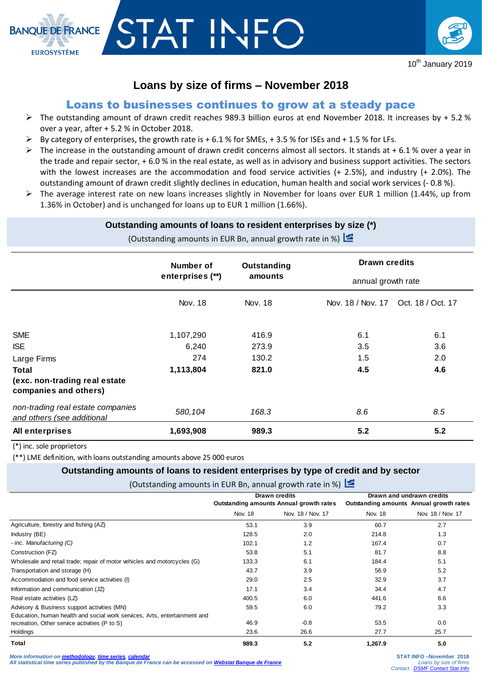

# **Loans by size of firms – November 2018**

# Loans to businesses continues to grow at a steady pace

- $\triangleright$  The outstanding amount of drawn credit reaches 989.3 billion euros at end November 2018. It increases by + 5.2 % over a year, after + 5.2 % in October 2018.
- $\triangleright$  By category of enterprises, the growth rate is + 6.1 % for SMEs, + 3.5 % for ISEs and + 1.5 % for LFs.
- $\triangleright$  The increase in the outstanding amount of drawn credit concerns almost all sectors. It stands at +6.1% over a year in the trade and repair sector, + 6.0 % in the real estate, as well as in advisory and business support activities. The sectors with the lowest increases are the accommodation and food service activities (+ 2.5%), and industry (+ 2.0%). The outstanding amount of drawn credit slightly declines in education, human health and social work services (- 0.8 %).
- $\triangleright$  The average interest rate on new loans increases slightly in November for loans over EUR 1 million (1.44%, up from 1.36% in October) and is unchanged for loans up to EUR 1 million (1.66%).

#### **Outstanding amounts of loans to resident enterprises by size (\*)**

(Outstanding amounts in EUR Bn, annual growth rate in %)  $\geq$ 

|                                                                                                                   | Number of<br>enterprises (**)          | Outstanding<br>amounts           | <b>Drawn credits</b><br>annual growth rate |                          |  |
|-------------------------------------------------------------------------------------------------------------------|----------------------------------------|----------------------------------|--------------------------------------------|--------------------------|--|
|                                                                                                                   | Nov. 18                                | Nov. 18                          | Nov. 18 / Nov. 17 Oct. 18 / Oct. 17        |                          |  |
| <b>SME</b><br><b>ISE</b><br>Large Firms<br><b>Total</b><br>(exc. non-trading real estate<br>companies and others) | 1,107,290<br>6,240<br>274<br>1,113,804 | 416.9<br>273.9<br>130.2<br>821.0 | 6.1<br>3.5<br>1.5<br>4.5                   | 6.1<br>3.6<br>2.0<br>4.6 |  |
| non-trading real estate companies<br>and others (see additional                                                   | 580,104                                | 168.3                            | 8.6                                        | 8.5                      |  |
| All enterprises                                                                                                   | 1,693,908                              | 989.3                            | 5.2                                        | 5.2                      |  |

(\*) inc. sole proprietors

(\*\*) LME definition, with loans outstanding amounts above 25 000 euros

#### **Outstanding amounts of loans to resident enterprises by type of credit and by sector**

(Outstanding amounts in EUR Bn, annual growth rate in %)

|                                                                           |                                         | Drawn credits     | Drawn and undrawn credits               |                   |
|---------------------------------------------------------------------------|-----------------------------------------|-------------------|-----------------------------------------|-------------------|
|                                                                           | Outstanding amounts Annual growth rates |                   | Outstanding amounts Annual growth rates |                   |
|                                                                           | Nov. 18                                 | Nov. 18 / Nov. 17 | Nov. 18                                 | Nov. 18 / Nov. 17 |
| Agriculture, forestry and fishing (AZ)                                    | 53.1                                    | 3.9               | 60.7                                    | 2.7               |
| Industry (BE)                                                             | 128.5                                   | 2.0               | 214.8                                   | 1.3               |
| - inc. Manufacturing (C)                                                  | 102.1                                   | 1.2               | 167.4                                   | 0.7               |
| Construction (FZ)                                                         | 53.8                                    | 5.1               | 81.7                                    | 8.8               |
| Wholesale and retail trade; repair of motor vehicles and motorcycles (G)  | 133.3                                   | 6.1               | 184.4                                   | 5.1               |
| Transportation and storage (H)                                            | 43.7                                    | 3.9               | 56.9                                    | 5.2               |
| Accommodation and food service activities (I)                             | 29.0                                    | 2.5               | 32.9                                    | 3.7               |
| Information and communication (JZ)                                        | 17.1                                    | 3.4               | 34.4                                    | 4.7               |
| Real estate activities (LZ)                                               | 400.5                                   | 6.0               | 441.6                                   | 6.6               |
| Advisory & Business support activities (MN)                               | 59.5                                    | 6.0               | 79.2                                    | 3.3               |
| Education, human health and social work services, Arts, entertainment and |                                         |                   |                                         |                   |
| recreation, Other service activities (P to S)                             | 46.9                                    | $-0.8$            | 53.5                                    | 0.0               |
| Holdings                                                                  | 23.6                                    | 26.6              | 27.7                                    | 25.7              |
| Total                                                                     | 989.3                                   | 5.2               | 1,267.9                                 | 5.0               |

*More information on [methodology,](https://www.banque-france.fr/en/statistics/access-series/methodologies) [time series,](http://webstat.banque-france.fr/en/browse.do?node=5384219) [calendar](https://www.banque-france.fr/en/statistics/calendar) All statistical time series published by the Banque de France can be accessed on [Webstat Banque de France](http://webstat.banque-france.fr/en/)*